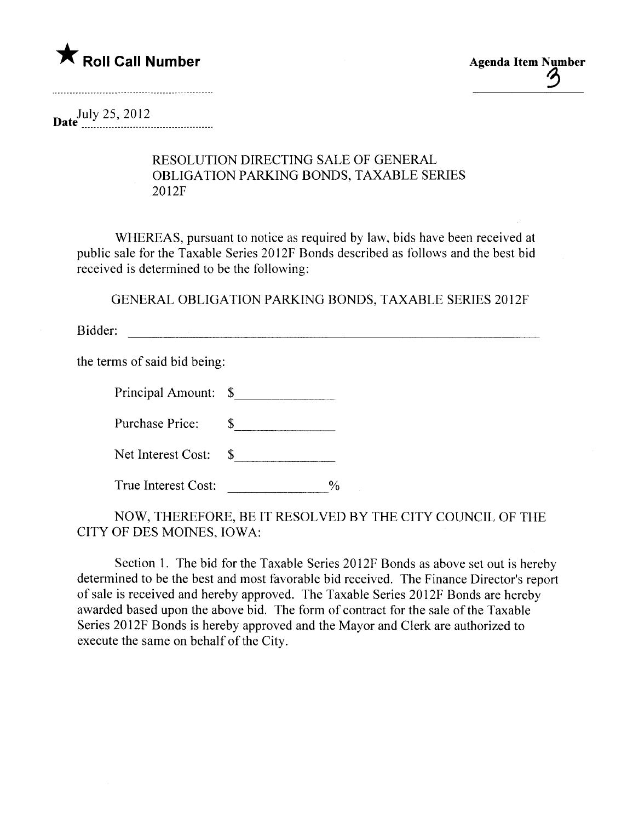

 $\mathfrak{D}$ 

Date  $\frac{July \ 25, 2012}{2}$ 

## RESOLUTION DIRECTING SALE OF GENERAL OBLIGATION PARKING BONDS, TAXABLE SERIES 2012F

WHEREAS, pursuant to notice as required by law, bids have been received at public sale for the Taxable Series 2012F Bonds described as follows and the best bid received is determined to be the following:

GENERAL OBLIGATION PARKING BONDS, TAXABLE SERIES 20l2F

Bidder:

the terms of said bid being:

| Principal Amount: \$ |  |
|----------------------|--|
|----------------------|--|

Purchase Price:  $\qquad \qquad \text{\_}$ 

| Net Interest Cost: |  |
|--------------------|--|
|--------------------|--|

True Interest Cost:  $\frac{9}{6}$ 

NOW, THEREFORE, BE IT RESOLVED BY THE CITY COUNCIL OF THE CITY OF DES MOINES, IOWA:

Section 1. The bid for the Taxable Series 2012F Bonds as above set out is hereby determined to be the best and most favorable bid received. The Finance Director's report of sale is received and hereby approved. The Taxable Series 2012F Bonds are hereby awarded based upon the above bid. The form of contract for the sale of the Taxable Series 2012F Bonds is hereby approved and the Mayor and Clerk are authorized to execute the same on behalf of the City.